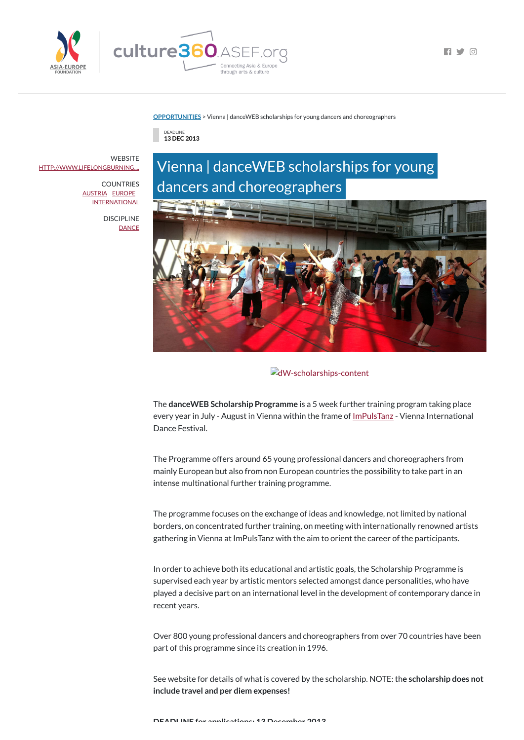

1 V 0

## **[OPPORTUNITIES](https://culture360.asef.org/opportunities/)** > Vienna | danceWEB scholarships for young dancers and choreographers

DEADLINE **13 DEC 2013**

## Vienna | danceWEB scholarships for young dancers and choreographers



**D**dW-scholarships-content

The **danceWEB Scholarship Programme** is a 5 week further training program taking place every year in July - August in Vienna within the frame of **[ImPulsTanz](http://www.impulstanz.com/)** - Vienna International Dance Festival.

The Programme offers around 65 young professional dancers and choreographers from mainly European but also from non European countries the possibility to take part in an intense multinational further training programme.

The programme focuses on the exchange of ideas and knowledge, not limited by national borders, on concentrated further training, on meeting with internationally renowned artists gathering in Vienna at ImPulsTanz with the aim to orient the career of the participants.

**WEBSITE** [HTTP://WWW.LIFELONGBURNING....](http://www.lifelongburning.eu/projects/danceweb_scholarships.html)

> COUNTRIES [AUSTRIA](https://culture360.asef.org/countries/austria/) [EUROPE](https://culture360.asef.org/countries/europe/) **[INTERNATIONAL](https://culture360.asef.org/countries/international/)**

> > **DISCIPLINE [DANCE](https://culture360.asef.org/disciplines/dance/)**

> > > In order to achieve both its educational and artistic goals, the Scholarship Programme is supervised each year by artistic mentors selected amongst dance personalities, who have played a decisive part on an international level in the development of contemporary dance in recent years.

> > > Over 800 young professional dancers and choreographers from over 70 countries have been part of this programme since its creation in 1996.

> > > See website for details of what is covered by the scholarship. NOTE: th**e scholarship does not include travel and per diem expenses!**

**DEADLINE for applications: 13 December 2013**